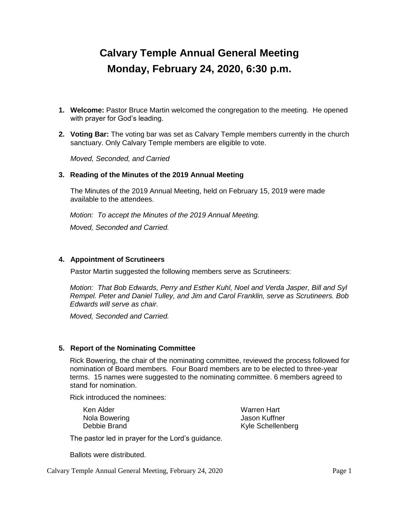# **Calvary Temple Annual General Meeting Monday, February 24, 2020, 6:30 p.m.**

- **1. Welcome:** Pastor Bruce Martin welcomed the congregation to the meeting. He opened with prayer for God's leading.
- **2. Voting Bar:** The voting bar was set as Calvary Temple members currently in the church sanctuary. Only Calvary Temple members are eligible to vote.

*Moved, Seconded, and Carried*

#### **3. Reading of the Minutes of the 2019 Annual Meeting**

The Minutes of the 2019 Annual Meeting, held on February 15, 2019 were made available to the attendees.

*Motion: To accept the Minutes of the 2019 Annual Meeting. Moved, Seconded and Carried.*

#### **4. Appointment of Scrutineers**

Pastor Martin suggested the following members serve as Scrutineers:

*Motion: That Bob Edwards, Perry and Esther Kuhl, Noel and Verda Jasper, Bill and Syl Rempel. Peter and Daniel Tulley, and Jim and Carol Franklin, serve as Scrutineers. Bob Edwards will serve as chair.*

*Moved, Seconded and Carried.*

#### **5. Report of the Nominating Committee**

Rick Bowering, the chair of the nominating committee, reviewed the process followed for nomination of Board members. Four Board members are to be elected to three-year terms. 15 names were suggested to the nominating committee. 6 members agreed to stand for nomination.

Rick introduced the nominees:

Ken Alder Nola Bowering Debbie Brand

Warren Hart Jason Kuffner Kyle Schellenberg

The pastor led in prayer for the Lord's guidance.

Ballots were distributed.

Calvary Temple Annual General Meeting, February 24, 2020 Page 1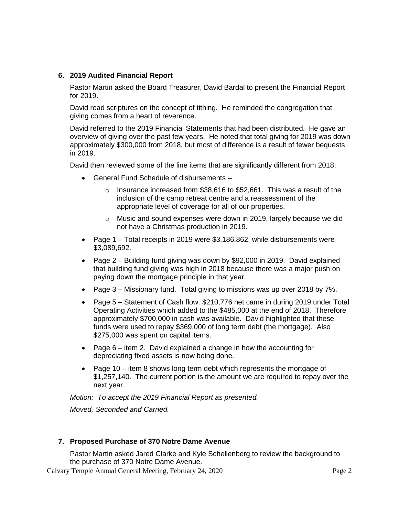# **6. 2019 Audited Financial Report**

Pastor Martin asked the Board Treasurer, David Bardal to present the Financial Report for 2019.

David read scriptures on the concept of tithing. He reminded the congregation that giving comes from a heart of reverence.

David referred to the 2019 Financial Statements that had been distributed. He gave an overview of giving over the past few years. He noted that total giving for 2019 was down approximately \$300,000 from 2018, but most of difference is a result of fewer bequests in 2019.

David then reviewed some of the line items that are significantly different from 2018:

- General Fund Schedule of disbursements
	- o Insurance increased from \$38,616 to \$52,661. This was a result of the inclusion of the camp retreat centre and a reassessment of the appropriate level of coverage for all of our properties.
	- o Music and sound expenses were down in 2019, largely because we did not have a Christmas production in 2019.
- Page 1 Total receipts in 2019 were \$3,186,862, while disbursements were \$3,089,692.
- Page 2 Building fund giving was down by \$92,000 in 2019. David explained that building fund giving was high in 2018 because there was a major push on paying down the mortgage principle in that year.
- Page 3 Missionary fund. Total giving to missions was up over 2018 by 7%.
- Page 5 Statement of Cash flow. \$210,776 net came in during 2019 under Total Operating Activities which added to the \$485,000 at the end of 2018. Therefore approximately \$700,000 in cash was available. David highlighted that these funds were used to repay \$369,000 of long term debt (the mortgage). Also \$275,000 was spent on capital items.
- Page  $6$  item 2. David explained a change in how the accounting for depreciating fixed assets is now being done.
- Page 10 item 8 shows long term debt which represents the mortgage of \$1,257,140. The current portion is the amount we are required to repay over the next year.

*Motion: To accept the 2019 Financial Report as presented.*

*Moved, Seconded and Carried.*

## **7. Proposed Purchase of 370 Notre Dame Avenue**

Pastor Martin asked Jared Clarke and Kyle Schellenberg to review the background to the purchase of 370 Notre Dame Avenue.

Calvary Temple Annual General Meeting, February 24, 2020 Page 2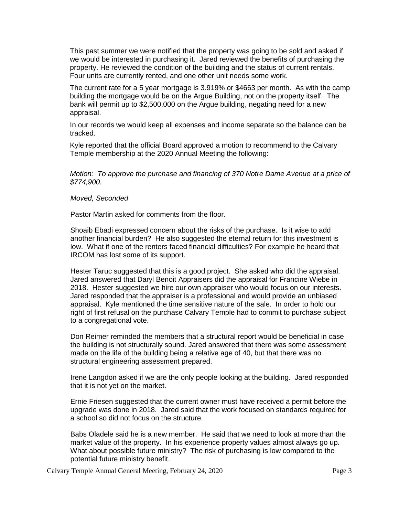This past summer we were notified that the property was going to be sold and asked if we would be interested in purchasing it. Jared reviewed the benefits of purchasing the property. He reviewed the condition of the building and the status of current rentals. Four units are currently rented, and one other unit needs some work.

The current rate for a 5 year mortgage is 3.919% or \$4663 per month. As with the camp building the mortgage would be on the Argue Building, not on the property itself. The bank will permit up to \$2,500,000 on the Argue building, negating need for a new appraisal.

In our records we would keep all expenses and income separate so the balance can be tracked.

Kyle reported that the official Board approved a motion to recommend to the Calvary Temple membership at the 2020 Annual Meeting the following:

*Motion: To approve the purchase and financing of 370 Notre Dame Avenue at a price of \$774,900.*

#### *Moved, Seconded*

Pastor Martin asked for comments from the floor.

Shoaib Ebadi expressed concern about the risks of the purchase. Is it wise to add another financial burden? He also suggested the eternal return for this investment is low. What if one of the renters faced financial difficulties? For example he heard that IRCOM has lost some of its support.

Hester Taruc suggested that this is a good project. She asked who did the appraisal. Jared answered that Daryl Benoit Appraisers did the appraisal for Francine Wiebe in 2018. Hester suggested we hire our own appraiser who would focus on our interests. Jared responded that the appraiser is a professional and would provide an unbiased appraisal. Kyle mentioned the time sensitive nature of the sale. In order to hold our right of first refusal on the purchase Calvary Temple had to commit to purchase subject to a congregational vote.

Don Reimer reminded the members that a structural report would be beneficial in case the building is not structurally sound. Jared answered that there was some assessment made on the life of the building being a relative age of 40, but that there was no structural engineering assessment prepared.

Irene Langdon asked if we are the only people looking at the building. Jared responded that it is not yet on the market.

Ernie Friesen suggested that the current owner must have received a permit before the upgrade was done in 2018. Jared said that the work focused on standards required for a school so did not focus on the structure.

Babs Oladele said he is a new member. He said that we need to look at more than the market value of the property. In his experience property values almost always go up. What about possible future ministry? The risk of purchasing is low compared to the potential future ministry benefit.

Calvary Temple Annual General Meeting, February 24, 2020 Page 3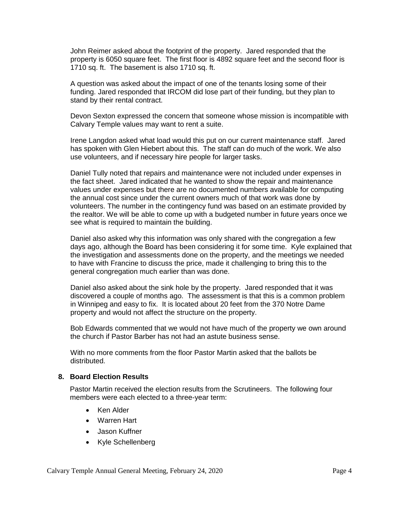John Reimer asked about the footprint of the property. Jared responded that the property is 6050 square feet. The first floor is 4892 square feet and the second floor is 1710 sq. ft. The basement is also 1710 sq. ft.

A question was asked about the impact of one of the tenants losing some of their funding. Jared responded that IRCOM did lose part of their funding, but they plan to stand by their rental contract.

Devon Sexton expressed the concern that someone whose mission is incompatible with Calvary Temple values may want to rent a suite.

Irene Langdon asked what load would this put on our current maintenance staff. Jared has spoken with Glen Hiebert about this. The staff can do much of the work. We also use volunteers, and if necessary hire people for larger tasks.

Daniel Tully noted that repairs and maintenance were not included under expenses in the fact sheet. Jared indicated that he wanted to show the repair and maintenance values under expenses but there are no documented numbers available for computing the annual cost since under the current owners much of that work was done by volunteers. The number in the contingency fund was based on an estimate provided by the realtor. We will be able to come up with a budgeted number in future years once we see what is required to maintain the building.

Daniel also asked why this information was only shared with the congregation a few days ago, although the Board has been considering it for some time. Kyle explained that the investigation and assessments done on the property, and the meetings we needed to have with Francine to discuss the price, made it challenging to bring this to the general congregation much earlier than was done.

Daniel also asked about the sink hole by the property. Jared responded that it was discovered a couple of months ago. The assessment is that this is a common problem in Winnipeg and easy to fix. It is located about 20 feet from the 370 Notre Dame property and would not affect the structure on the property.

Bob Edwards commented that we would not have much of the property we own around the church if Pastor Barber has not had an astute business sense.

With no more comments from the floor Pastor Martin asked that the ballots be distributed.

### **8. Board Election Results**

Pastor Martin received the election results from the Scrutineers. The following four members were each elected to a three-year term:

- Ken Alder
- Warren Hart
- Jason Kuffner
- Kyle Schellenberg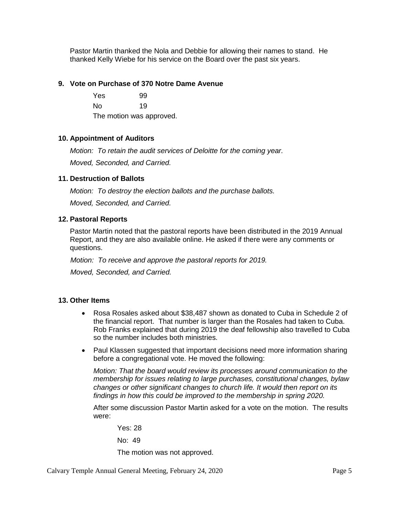Pastor Martin thanked the Nola and Debbie for allowing their names to stand. He thanked Kelly Wiebe for his service on the Board over the past six years.

#### **9. Vote on Purchase of 370 Notre Dame Avenue**

Yes 99 No 19 The motion was approved.

### **10. Appointment of Auditors**

*Motion: To retain the audit services of Deloitte for the coming year.*

*Moved, Seconded, and Carried.*

### **11. Destruction of Ballots**

*Motion: To destroy the election ballots and the purchase ballots.*

*Moved, Seconded, and Carried.*

### **12. Pastoral Reports**

Pastor Martin noted that the pastoral reports have been distributed in the 2019 Annual Report, and they are also available online. He asked if there were any comments or questions.

*Motion: To receive and approve the pastoral reports for 2019.*

*Moved, Seconded, and Carried.*

#### **13. Other Items**

- Rosa Rosales asked about \$38,487 shown as donated to Cuba in Schedule 2 of the financial report. That number is larger than the Rosales had taken to Cuba. Rob Franks explained that during 2019 the deaf fellowship also travelled to Cuba so the number includes both ministries.
- Paul Klassen suggested that important decisions need more information sharing before a congregational vote. He moved the following:

*Motion: That the board would review its processes around communication to the membership for issues relating to large purchases, constitutional changes, bylaw changes or other significant changes to church life. It would then report on its findings in how this could be improved to the membership in spring 2020.*

After some discussion Pastor Martin asked for a vote on the motion. The results were:

Yes: 28

No: 49

The motion was not approved.